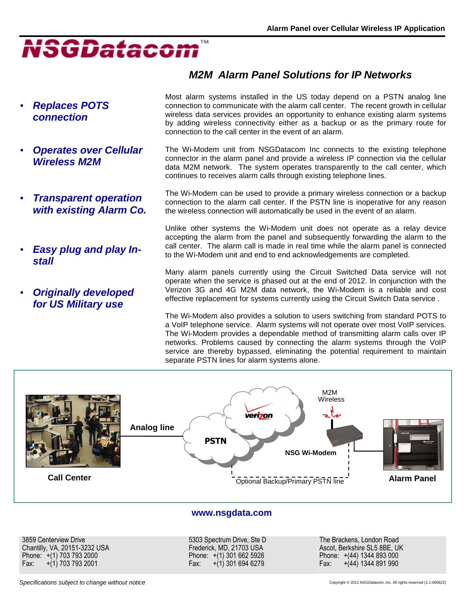

## • **Replaces POTS connection**

- **Operates over Cellular Wireless M2M**
- **Transparent operation with existing Alarm Co.**
- **Easy plug and play Install**
- **Originally developed for US Military use**

## **M2M Alarm Panel Solutions for IP Networks**

Most alarm systems installed in the US today depend on a PSTN analog line connection to communicate with the alarm call center. The recent growth in cellular wireless data services provides an opportunity to enhance existing alarm systems by adding wireless connectivity either as a backup or as the primary route for connection to the call center in the event of an alarm.

The Wi-Modem unit from NSGDatacom Inc connects to the existing telephone connector in the alarm panel and provide a wireless IP connection via the cellular data M2M network. The system operates transparently to the call center, which continues to receives alarm calls through existing telephone lines.

The Wi-Modem can be used to provide a primary wireless connection or a backup connection to the alarm call center. If the PSTN line is inoperative for any reason the wireless connection will automatically be used in the event of an alarm.

Unlike other systems the Wi-Modem unit does not operate as a relay device accepting the alarm from the panel and subsequently forwarding the alarm to the call center. The alarm call is made in real time while the alarm panel is connected to the Wi-Modem unit and end to end acknowledgements are completed.

Many alarm panels currently using the Circuit Switched Data service will not operate when the service is phased out at the end of 2012. In conjunction with the Verizon 3G and 4G M2M data network, the Wi-Modem is a reliable and cost effective replacement for systems currently using the Circuit Switch Data service .

The Wi-Modem also provides a solution to users switching from standard POTS to a VoIP telephone service. Alarm systems will not operate over most VoIP services. The Wi-Modem provides a dependable method of transmitting alarm calls over IP networks. Problems caused by connecting the alarm systems through the VoIP service are thereby bypassed, eliminating the potential requirement to maintain separate PSTN lines for alarm systems alone.



#### **www.nsgdata.com**

3859 Centerview Drive Chantilly, VA, 20151-3232 USA Phone: +(1) 703 793 2000 Fax: +(1) 703 793 2001

5303 Spectrum Drive, Ste D Frederick, MD, 21703 USA Phone: +(1) 301 662 5926 Fax: +(1) 301 694 6279

The Brackens, London Road Ascot, Berkshire SL5 8BE, UK Phone: +(44) 1344 893 000 Fax: +(44) 1344 891 990